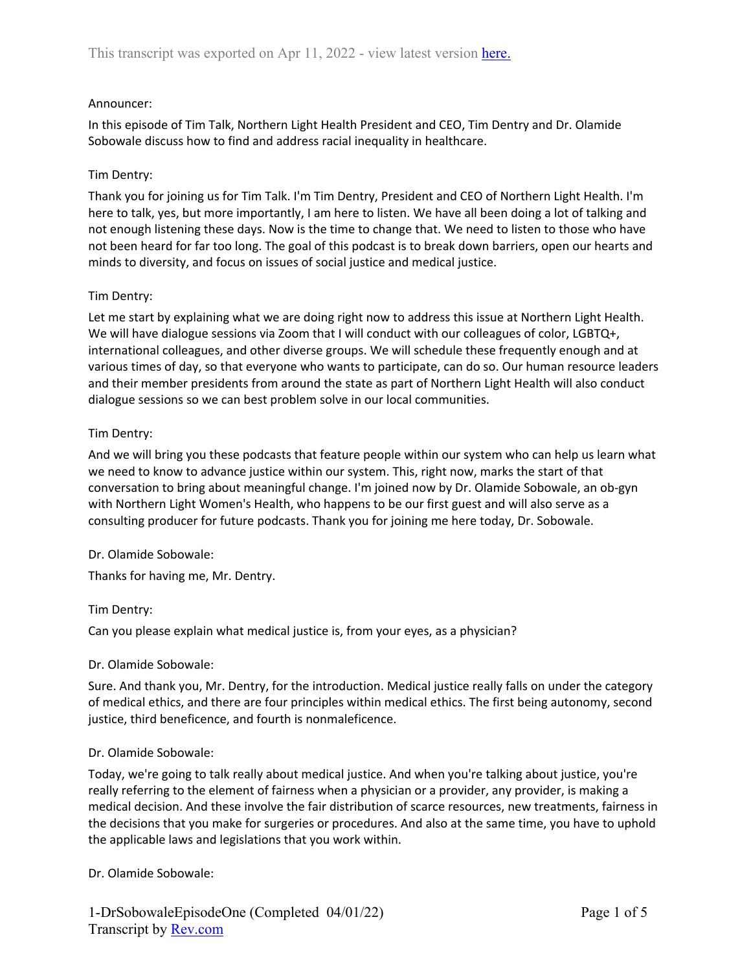### Announcer:

In this episode of Tim Talk, Northern Light Health President and CEO, Tim Dentry and Dr. Olamide Sobowale discuss how to find and address racial inequality in healthcare.

### Tim Dentry:

Thank you for joining us for Tim Talk. I'm Tim Dentry, President and CEO of Northern Light Health. I'm here to talk, yes, but more importantly, I am here to listen. We have all been doing a lot of talking and not enough listening these days. Now is the time to change that. We need to listen to those who have not been heard for far too long. The goal of this podcast is to break down barriers, open our hearts and minds to diversity, and focus on issues of social justice and medical justice.

### Tim Dentry:

Let me start by explaining what we are doing right now to address this issue at Northern Light Health. We will have dialogue sessions via Zoom that I will conduct with our colleagues of color, LGBTQ+, international colleagues, and other diverse groups. We will schedule these frequently enough and at various times of day, so that everyone who wants to participate, can do so. Our human resource leaders and their member presidents from around the state as part of Northern Light Health will also conduct dialogue sessions so we can best problem solve in our local communities.

### Tim Dentry:

And we will bring you these podcasts that feature people within our system who can help us learn what we need to know to advance justice within our system. This, right now, marks the start of that conversation to bring about meaningful change. I'm joined now by Dr. Olamide Sobowale, an ob-gyn with Northern Light Women's Health, who happens to be our first guest and will also serve as a consulting producer for future podcasts. Thank you for joining me here today, Dr. Sobowale.

#### Dr. Olamide Sobowale:

Thanks for having me, Mr. Dentry.

#### Tim Dentry:

Can you please explain what medical justice is, from your eyes, as a physician?

#### Dr. Olamide Sobowale:

Sure. And thank you, Mr. Dentry, for the introduction. Medical justice really falls on under the category of medical ethics, and there are four principles within medical ethics. The first being autonomy, second justice, third beneficence, and fourth is nonmaleficence.

#### Dr. Olamide Sobowale:

Today, we're going to talk really about medical justice. And when you're talking about justice, you're really referring to the element of fairness when a physician or a provider, any provider, is making a medical decision. And these involve the fair distribution of scarce resources, new treatments, fairness in the decisions that you make for surgeries or procedures. And also at the same time, you have to uphold the applicable laws and legislations that you work within.

#### Dr. Olamide Sobowale: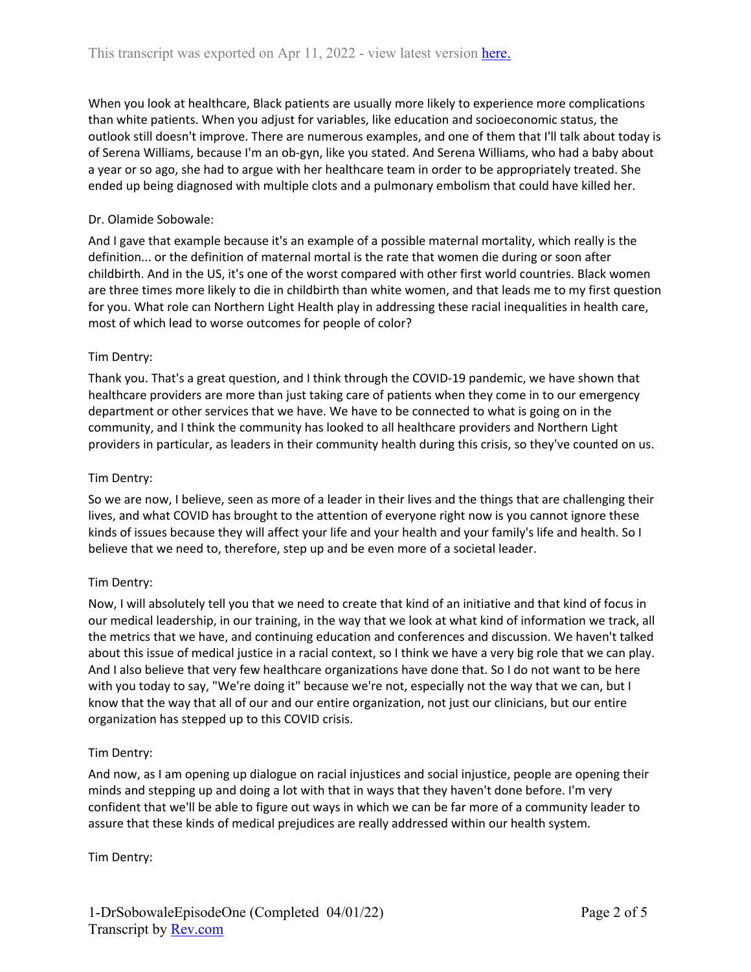When you look at healthcare, Black patients are usually more likely to experience more complications than white patients. When you adjust for variables, like education and socioeconomic status, the outlook still doesn't improve. There are numerous examples, and one of them that I'll talk about today is of Serena Williams, because I'm an ob-gyn, like you stated. And Serena Williams, who had a baby about a year or so ago, she had to argue with her healthcare team in order to be appropriately treated. She ended up being diagnosed with multiple clots and a pulmonary embolism that could have killed her.

# Dr. Olamide Sobowale:

And I gave that example because it's an example of a possible maternal mortality, which really is the definition... or the definition of maternal mortal is the rate that women die during or soon after childbirth. And in the US, it's one of the worst compared with other first world countries. Black women are three times more likely to die in childbirth than white women, and that leads me to my first question for you. What role can Northern Light Health play in addressing these racial inequalities in health care, most of which lead to worse outcomes for people of color?

# Tim Dentry:

Thank you. That's a great question, and I think through the COVID-19 pandemic, we have shown that healthcare providers are more than just taking care of patients when they come in to our emergency department or other services that we have. We have to be connected to what is going on in the community, and I think the community has looked to all healthcare providers and Northern Light providers in particular, as leaders in their community health during this crisis, so they've counted on us.

## Tim Dentry:

So we are now, I believe, seen as more of a leader in their lives and the things that are challenging their lives, and what COVID has brought to the attention of everyone right now is you cannot ignore these kinds of issues because they will affect your life and your health and your family's life and health. So I believe that we need to, therefore, step up and be even more of a societal leader.

## Tim Dentry:

Now, I will absolutely tell you that we need to create that kind of an initiative and that kind of focus in our medical leadership, in our training, in the way that we look at what kind of information we track, all the metrics that we have, and continuing education and conferences and discussion. We haven't talked about this issue of medical justice in a racial context, so I think we have a very big role that we can play. And I also believe that very few healthcare organizations have done that. So I do not want to be here with you today to say, "We're doing it" because we're not, especially not the way that we can, but I know that the way that all of our and our entire organization, not just our clinicians, but our entire organization has stepped up to this COVID crisis.

## Tim Dentry:

And now, as I am opening up dialogue on racial injustices and social injustice, people are opening their minds and stepping up and doing a lot with that in ways that they haven't done before. I'm very confident that we'll be able to figure out ways in which we can be far more of a community leader to assure that these kinds of medical prejudices are really addressed within our health system.

Tim Dentry: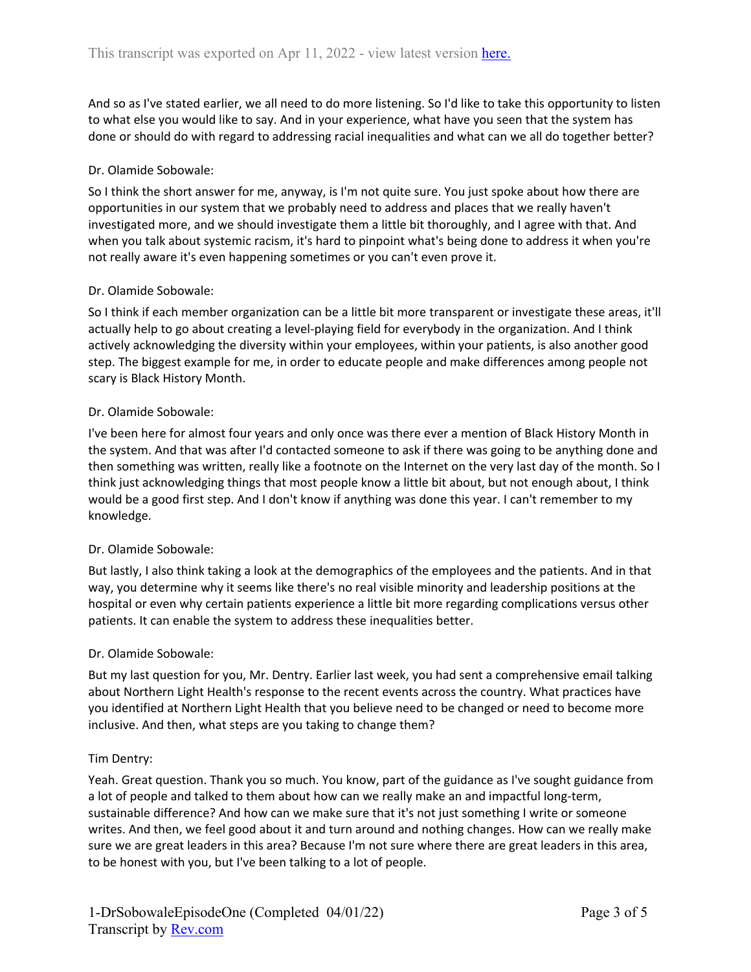And so as I've stated earlier, we all need to do more listening. So I'd like to take this opportunity to listen to what else you would like to say. And in your experience, what have you seen that the system has done or should do with regard to addressing racial inequalities and what can we all do together better?

### Dr. Olamide Sobowale:

So I think the short answer for me, anyway, is I'm not quite sure. You just spoke about how there are opportunities in our system that we probably need to address and places that we really haven't investigated more, and we should investigate them a little bit thoroughly, and I agree with that. And when you talk about systemic racism, it's hard to pinpoint what's being done to address it when you're not really aware it's even happening sometimes or you can't even prove it.

### Dr. Olamide Sobowale:

So I think if each member organization can be a little bit more transparent or investigate these areas, it'll actually help to go about creating a level-playing field for everybody in the organization. And I think actively acknowledging the diversity within your employees, within your patients, is also another good step. The biggest example for me, in order to educate people and make differences among people not scary is Black History Month.

### Dr. Olamide Sobowale:

I've been here for almost four years and only once was there ever a mention of Black History Month in the system. And that was after I'd contacted someone to ask if there was going to be anything done and then something was written, really like a footnote on the Internet on the very last day of the month. So I think just acknowledging things that most people know a little bit about, but not enough about, I think would be a good first step. And I don't know if anything was done this year. I can't remember to my knowledge.

## Dr. Olamide Sobowale:

But lastly, I also think taking a look at the demographics of the employees and the patients. And in that way, you determine why it seems like there's no real visible minority and leadership positions at the hospital or even why certain patients experience a little bit more regarding complications versus other patients. It can enable the system to address these inequalities better.

#### Dr. Olamide Sobowale:

But my last question for you, Mr. Dentry. Earlier last week, you had sent a comprehensive email talking about Northern Light Health's response to the recent events across the country. What practices have you identified at Northern Light Health that you believe need to be changed or need to become more inclusive. And then, what steps are you taking to change them?

## Tim Dentry:

Yeah. Great question. Thank you so much. You know, part of the guidance as I've sought guidance from a lot of people and talked to them about how can we really make an and impactful long-term, sustainable difference? And how can we make sure that it's not just something I write or someone writes. And then, we feel good about it and turn around and nothing changes. How can we really make sure we are great leaders in this area? Because I'm not sure where there are great leaders in this area, to be honest with you, but I've been talking to a lot of people.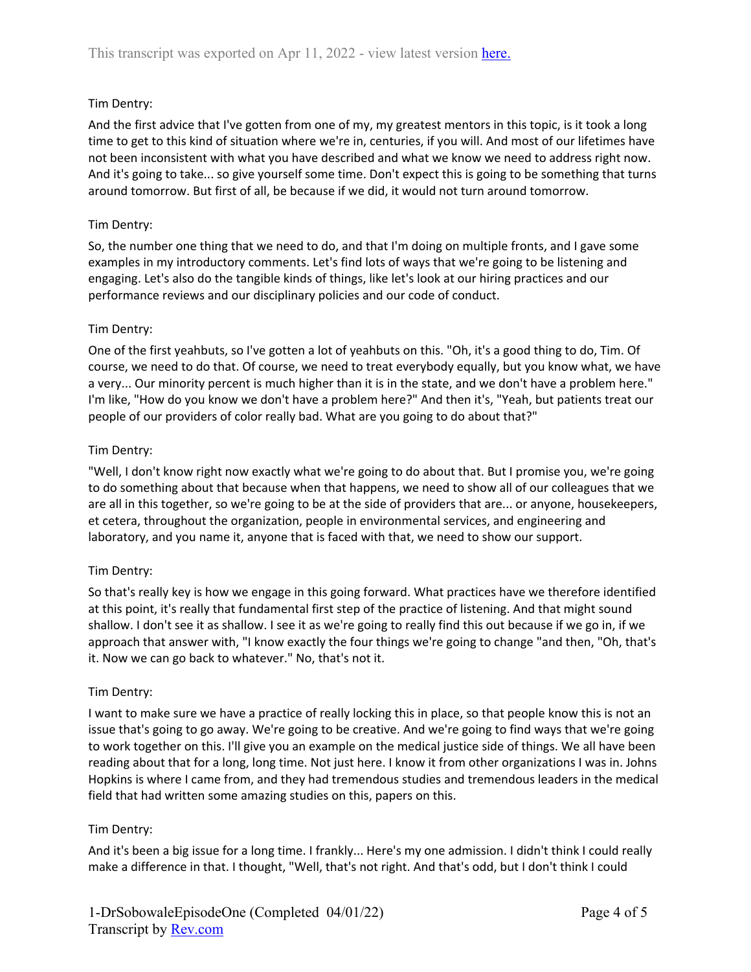# Tim Dentry:

And the first advice that I've gotten from one of my, my greatest mentors in this topic, is it took a long time to get to this kind of situation where we're in, centuries, if you will. And most of our lifetimes have not been inconsistent with what you have described and what we know we need to address right now. And it's going to take... so give yourself some time. Don't expect this is going to be something that turns around tomorrow. But first of all, be because if we did, it would not turn around tomorrow.

## Tim Dentry:

So, the number one thing that we need to do, and that I'm doing on multiple fronts, and I gave some examples in my introductory comments. Let's find lots of ways that we're going to be listening and engaging. Let's also do the tangible kinds of things, like let's look at our hiring practices and our performance reviews and our disciplinary policies and our code of conduct.

### Tim Dentry:

One of the first yeahbuts, so I've gotten a lot of yeahbuts on this. "Oh, it's a good thing to do, Tim. Of course, we need to do that. Of course, we need to treat everybody equally, but you know what, we have a very... Our minority percent is much higher than it is in the state, and we don't have a problem here." I'm like, "How do you know we don't have a problem here?" And then it's, "Yeah, but patients treat our people of our providers of color really bad. What are you going to do about that?"

### Tim Dentry:

"Well, I don't know right now exactly what we're going to do about that. But I promise you, we're going to do something about that because when that happens, we need to show all of our colleagues that we are all in this together, so we're going to be at the side of providers that are... or anyone, housekeepers, et cetera, throughout the organization, people in environmental services, and engineering and laboratory, and you name it, anyone that is faced with that, we need to show our support.

## Tim Dentry:

So that's really key is how we engage in this going forward. What practices have we therefore identified at this point, it's really that fundamental first step of the practice of listening. And that might sound shallow. I don't see it as shallow. I see it as we're going to really find this out because if we go in, if we approach that answer with, "I know exactly the four things we're going to change "and then, "Oh, that's it. Now we can go back to whatever." No, that's not it.

#### Tim Dentry:

I want to make sure we have a practice of really locking this in place, so that people know this is not an issue that's going to go away. We're going to be creative. And we're going to find ways that we're going to work together on this. I'll give you an example on the medical justice side of things. We all have been reading about that for a long, long time. Not just here. I know it from other organizations I was in. Johns Hopkins is where I came from, and they had tremendous studies and tremendous leaders in the medical field that had written some amazing studies on this, papers on this.

#### Tim Dentry:

And it's been a big issue for a long time. I frankly... Here's my one admission. I didn't think I could really make a difference in that. I thought, "Well, that's not right. And that's odd, but I don't think I could